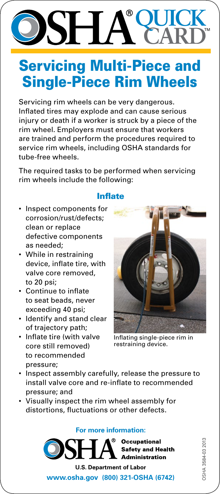# **QUICK CARD**

## **Servicing Multi-Piece and** Single-Piece Rim Wheels

Servicing rim wheels can be very dangerous. Inflated tires may explode and can cause serious injury or death if a worker is struck by a piece of the rim wheel. Employers must ensure that workers are trained and perform the procedures required to service rim wheels, including OSHA standards for tube-free wheels.

The required tasks to be performed when servicing rim wheels include the following:

#### Inflate

- • Inspect components for corrosion/rust/defects; clean or replace defective components as needed;
- While in restraining device, inflate tire, with valve core removed, to 20 psi;
- • Continue to inflate to seat beads, never exceeding 40 psi;
- • Identify and stand clear of trajectory path;
- • Inflate tire (with valve core still removed) to recommended pressure;



Inflating single-piece rim in restraining device.

- Inspect assembly carefully, release the pressure to install valve core and re-inflate to recommended pressure; and
- • Visually inspect the rim wheel assembly for distortions, fluctuations or other defects.

**For more information:**

<sup>®</sup> Occupational **Safety and Health Administration** 

OSHA 3584-03 2013 OSHA 3584-03 2013

**U.S. Department of Labor <www.osha.gov>(800) 321-OSHA (6742)**